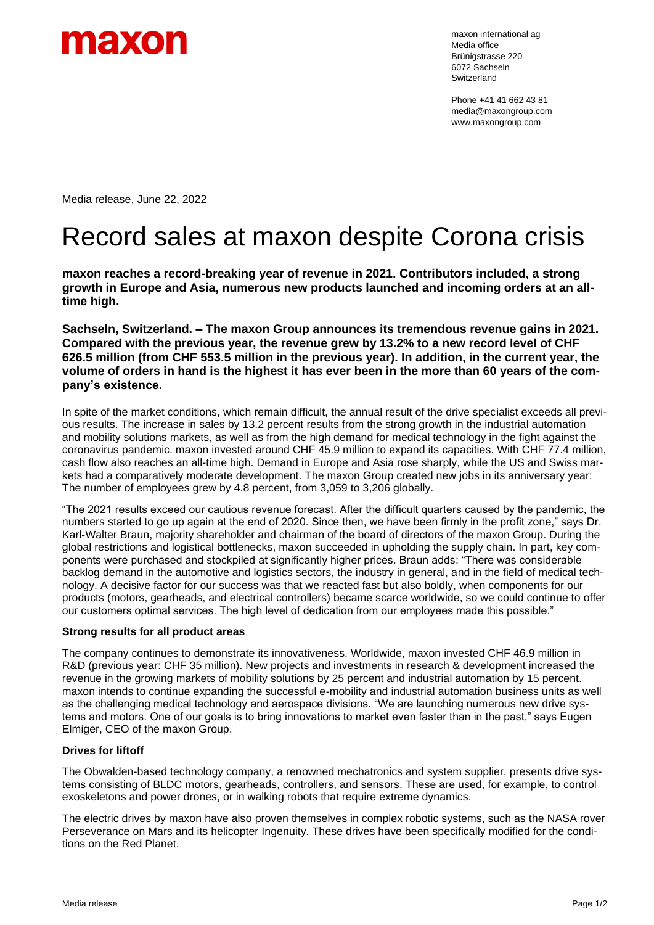

maxon international ag Media office Brünigstrasse 220 6072 Sachseln Switzerland

Phone +41 41 662 43 81 media@maxongroup.com www.maxongroup.com

Media release, June 22, 2022

# Record sales at maxon despite Corona crisis

**maxon reaches a record-breaking year of revenue in 2021. Contributors included, a strong growth in Europe and Asia, numerous new products launched and incoming orders at an alltime high.**

**Sachseln, Switzerland. – The maxon Group announces its tremendous revenue gains in 2021. Compared with the previous year, the revenue grew by 13.2% to a new record level of CHF 626.5 million (from CHF 553.5 million in the previous year). In addition, in the current year, the volume of orders in hand is the highest it has ever been in the more than 60 years of the company's existence.**

In spite of the market conditions, which remain difficult, the annual result of the drive specialist exceeds all previous results. The increase in sales by 13.2 percent results from the strong growth in the industrial automation and mobility solutions markets, as well as from the high demand for medical technology in the fight against the coronavirus pandemic. maxon invested around CHF 45.9 million to expand its capacities. With CHF 77.4 million, cash flow also reaches an all-time high. Demand in Europe and Asia rose sharply, while the US and Swiss markets had a comparatively moderate development. The maxon Group created new jobs in its anniversary year: The number of employees grew by 4.8 percent, from 3,059 to 3,206 globally.

"The 2021 results exceed our cautious revenue forecast. After the difficult quarters caused by the pandemic, the numbers started to go up again at the end of 2020. Since then, we have been firmly in the profit zone," says Dr. Karl-Walter Braun, majority shareholder and chairman of the board of directors of the maxon Group. During the global restrictions and logistical bottlenecks, maxon succeeded in upholding the supply chain. In part, key components were purchased and stockpiled at significantly higher prices. Braun adds: "There was considerable backlog demand in the automotive and logistics sectors, the industry in general, and in the field of medical technology. A decisive factor for our success was that we reacted fast but also boldly, when components for our products (motors, gearheads, and electrical controllers) became scarce worldwide, so we could continue to offer our customers optimal services. The high level of dedication from our employees made this possible."

# **Strong results for all product areas**

The company continues to demonstrate its innovativeness. Worldwide, maxon invested CHF 46.9 million in R&D (previous year: CHF 35 million). New projects and investments in research & development increased the revenue in the growing markets of mobility solutions by 25 percent and industrial automation by 15 percent. maxon intends to continue expanding the successful e-mobility and industrial automation business units as well as the challenging medical technology and aerospace divisions. "We are launching numerous new drive systems and motors. One of our goals is to bring innovations to market even faster than in the past," says Eugen Elmiger, CEO of the maxon Group.

# **Drives for liftoff**

The Obwalden-based technology company, a renowned mechatronics and system supplier, presents drive systems consisting of BLDC motors, gearheads, controllers, and sensors. These are used, for example, to control exoskeletons and power drones, or in walking robots that require extreme dynamics.

The electric drives by maxon have also proven themselves in complex robotic systems, such as the NASA rover Perseverance on Mars and its helicopter Ingenuity. These drives have been specifically modified for the conditions on the Red Planet.